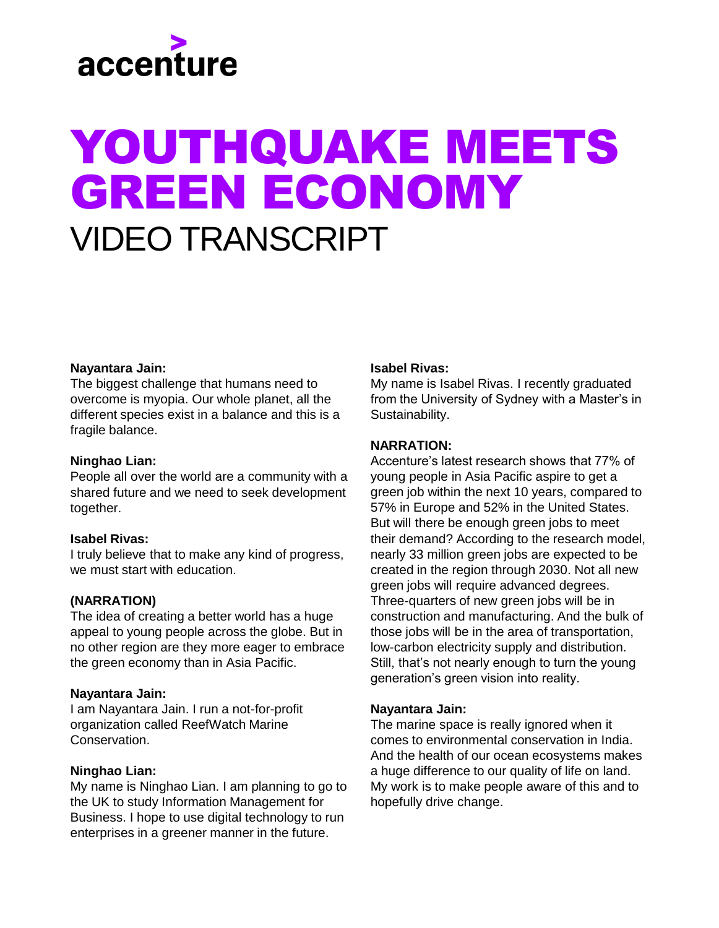# accenture

# YOUTHQUAKE MEETS GREEN ECONOMY VIDEO TRANSCRIPT

# **Nayantara Jain:**

The biggest challenge that humans need to overcome is myopia. Our whole planet, all the different species exist in a balance and this is a fragile balance.

## **Ninghao Lian:**

People all over the world are a community with a shared future and we need to seek development together.

#### **Isabel Rivas:**

I truly believe that to make any kind of progress, we must start with education.

#### **(NARRATION)**

The idea of creating a better world has a huge appeal to young people across the globe. But in no other region are they more eager to embrace the green economy than in Asia Pacific.

#### **Nayantara Jain:**

I am Nayantara Jain. I run a not-for-profit organization called ReefWatch Marine **Conservation** 

# **Ninghao Lian:**

My name is Ninghao Lian. I am planning to go to the UK to study Information Management for Business. I hope to use digital technology to run enterprises in a greener manner in the future.

#### **Isabel Rivas:**

My name is Isabel Rivas. I recently graduated from the University of Sydney with a Master's in Sustainability.

#### **NARRATION:**

Accenture's latest research shows that 77% of young people in Asia Pacific aspire to get a green job within the next 10 years, compared to 57% in Europe and 52% in the United States. But will there be enough green jobs to meet their demand? According to the research model, nearly 33 million green jobs are expected to be created in the region through 2030. Not all new green jobs will require advanced degrees. Three-quarters of new green jobs will be in construction and manufacturing. And the bulk of those jobs will be in the area of transportation, low-carbon electricity supply and distribution. Still, that's not nearly enough to turn the young generation's green vision into reality.

#### **Nayantara Jain:**

The marine space is really ignored when it comes to environmental conservation in India. And the health of our ocean ecosystems makes a huge difference to our quality of life on land. My work is to make people aware of this and to hopefully drive change.